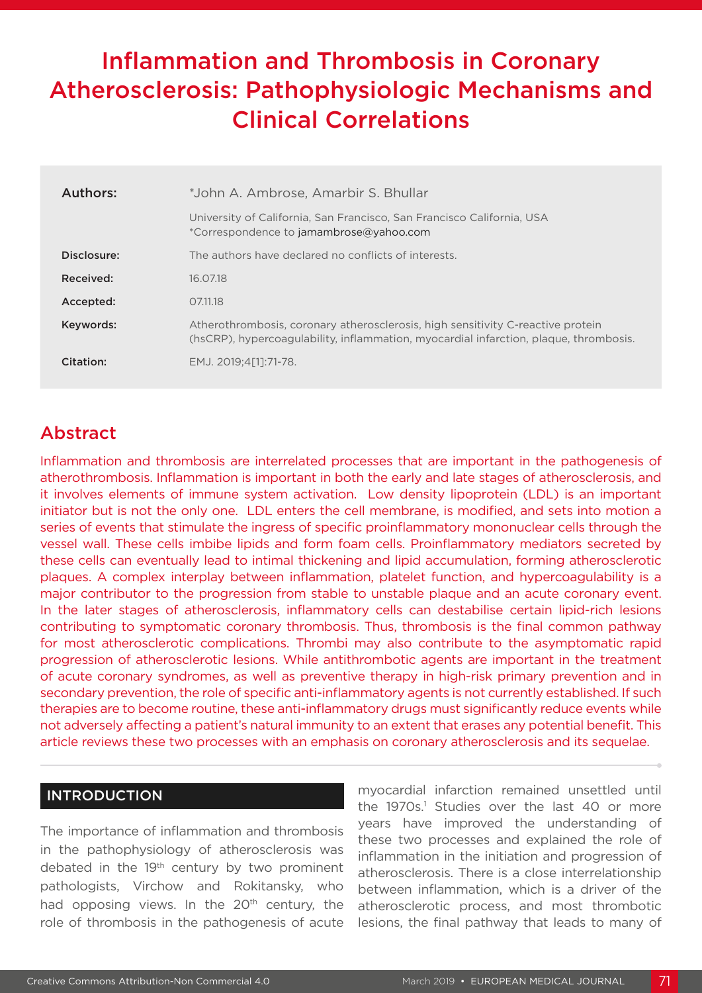# Inflammation and Thrombosis in Coronary Atherosclerosis: Pathophysiologic Mechanisms and Clinical Correlations

| <b>Authors:</b> | *John A. Ambrose, Amarbir S. Bhullar                                                                                                                                     |
|-----------------|--------------------------------------------------------------------------------------------------------------------------------------------------------------------------|
|                 | University of California, San Francisco, San Francisco California, USA<br>*Correspondence to jamambrose@yahoo.com                                                        |
| Disclosure:     | The authors have declared no conflicts of interests.                                                                                                                     |
| Received:       | 16.07.18                                                                                                                                                                 |
| Accepted:       | 07.11.18                                                                                                                                                                 |
| Keywords:       | Atherothrombosis, coronary atherosclerosis, high sensitivity C-reactive protein<br>(hsCRP), hypercoagulability, inflammation, myocardial infarction, plaque, thrombosis. |
| Citation:       | EMJ. 2019:4[11:71-78.                                                                                                                                                    |

## Abstract

Inflammation and thrombosis are interrelated processes that are important in the pathogenesis of atherothrombosis. Inflammation is important in both the early and late stages of atherosclerosis, and it involves elements of immune system activation. Low density lipoprotein (LDL) is an important initiator but is not the only one. LDL enters the cell membrane, is modified, and sets into motion a series of events that stimulate the ingress of specific proinflammatory mononuclear cells through the vessel wall. These cells imbibe lipids and form foam cells. Proinflammatory mediators secreted by these cells can eventually lead to intimal thickening and lipid accumulation, forming atherosclerotic plaques. A complex interplay between inflammation, platelet function, and hypercoagulability is a major contributor to the progression from stable to unstable plaque and an acute coronary event. In the later stages of atherosclerosis, inflammatory cells can destabilise certain lipid-rich lesions contributing to symptomatic coronary thrombosis. Thus, thrombosis is the final common pathway for most atherosclerotic complications. Thrombi may also contribute to the asymptomatic rapid progression of atherosclerotic lesions. While antithrombotic agents are important in the treatment of acute coronary syndromes, as well as preventive therapy in high-risk primary prevention and in secondary prevention, the role of specific anti-inflammatory agents is not currently established. If such therapies are to become routine, these anti-inflammatory drugs must significantly reduce events while not adversely affecting a patient's natural immunity to an extent that erases any potential benefit. This article reviews these two processes with an emphasis on coronary atherosclerosis and its sequelae.

#### INTRODUCTION

The importance of inflammation and thrombosis in the pathophysiology of atherosclerosis was debated in the 19<sup>th</sup> century by two prominent pathologists, Virchow and Rokitansky, who had opposing views. In the 20<sup>th</sup> century, the role of thrombosis in the pathogenesis of acute

myocardial infarction remained unsettled until the 1970s.<sup>1</sup> Studies over the last 40 or more years have improved the understanding of these two processes and explained the role of inflammation in the initiation and progression of atherosclerosis. There is a close interrelationship between inflammation, which is a driver of the atherosclerotic process, and most thrombotic lesions, the final pathway that leads to many of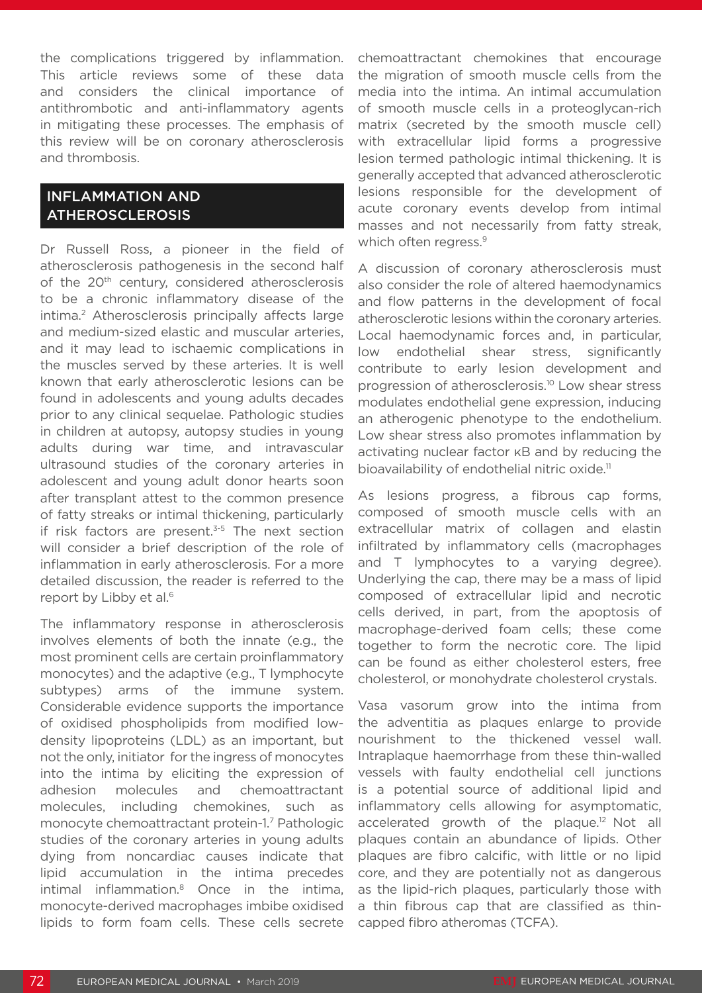the complications triggered by inflammation. This article reviews some of these data and considers the clinical importance of antithrombotic and anti-inflammatory agents in mitigating these processes. The emphasis of this review will be on coronary atherosclerosis and thrombosis.

#### INFLAMMATION AND ATHEROSCLEROSIS

Dr Russell Ross, a pioneer in the field of atherosclerosis pathogenesis in the second half of the 20<sup>th</sup> century, considered atherosclerosis to be a chronic inflammatory disease of the intima.<sup>2</sup> Atherosclerosis principally affects large and medium-sized elastic and muscular arteries, and it may lead to ischaemic complications in the muscles served by these arteries. It is well known that early atherosclerotic lesions can be found in adolescents and young adults decades prior to any clinical sequelae. Pathologic studies in children at autopsy, autopsy studies in young adults during war time, and intravascular ultrasound studies of the coronary arteries in adolescent and young adult donor hearts soon after transplant attest to the common presence of fatty streaks or intimal thickening, particularly if risk factors are present. $3-5$  The next section will consider a brief description of the role of inflammation in early atherosclerosis. For a more detailed discussion, the reader is referred to the report by Libby et al.<sup>6</sup>

The inflammatory response in atherosclerosis involves elements of both the innate (e.g., the most prominent cells are certain proinflammatory monocytes) and the adaptive (e.g., T lymphocyte subtypes) arms of the immune system. Considerable evidence supports the importance of oxidised phospholipids from modified lowdensity lipoproteins (LDL) as an important, but not the only, initiator for the ingress of monocytes into the intima by eliciting the expression of adhesion molecules and chemoattractant molecules, including chemokines, such as monocyte chemoattractant protein-1.7 Pathologic studies of the coronary arteries in young adults dying from noncardiac causes indicate that lipid accumulation in the intima precedes intimal inflammation.8 Once in the intima, monocyte-derived macrophages imbibe oxidised lipids to form foam cells. These cells secrete

chemoattractant chemokines that encourage the migration of smooth muscle cells from the media into the intima. An intimal accumulation of smooth muscle cells in a proteoglycan-rich matrix (secreted by the smooth muscle cell) with extracellular lipid forms a progressive lesion termed pathologic intimal thickening. It is generally accepted that advanced atherosclerotic lesions responsible for the development of acute coronary events develop from intimal masses and not necessarily from fatty streak, which often regress.<sup>9</sup>

A discussion of coronary atherosclerosis must also consider the role of altered haemodynamics and flow patterns in the development of focal atherosclerotic lesions within the coronary arteries. Local haemodynamic forces and, in particular, low endothelial shear stress, significantly contribute to early lesion development and progression of atherosclerosis.10 Low shear stress modulates endothelial gene expression, inducing an atherogenic phenotype to the endothelium. Low shear stress also promotes inflammation by activating nuclear factor κB and by reducing the bioavailability of endothelial nitric oxide.<sup>11</sup>

As lesions progress, a fibrous cap forms, composed of smooth muscle cells with an extracellular matrix of collagen and elastin infiltrated by inflammatory cells (macrophages and T lymphocytes to a varying degree). Underlying the cap, there may be a mass of lipid composed of extracellular lipid and necrotic cells derived, in part, from the apoptosis of macrophage-derived foam cells; these come together to form the necrotic core. The lipid can be found as either cholesterol esters, free cholesterol, or monohydrate cholesterol crystals.

Vasa vasorum grow into the intima from the adventitia as plaques enlarge to provide nourishment to the thickened vessel wall. Intraplaque haemorrhage from these thin-walled vessels with faulty endothelial cell junctions is a potential source of additional lipid and inflammatory cells allowing for asymptomatic, accelerated growth of the plaque.<sup>12</sup> Not all plaques contain an abundance of lipids. Other plaques are fibro calcific, with little or no lipid core, and they are potentially not as dangerous as the lipid-rich plaques, particularly those with a thin fibrous cap that are classified as thincapped fibro atheromas (TCFA).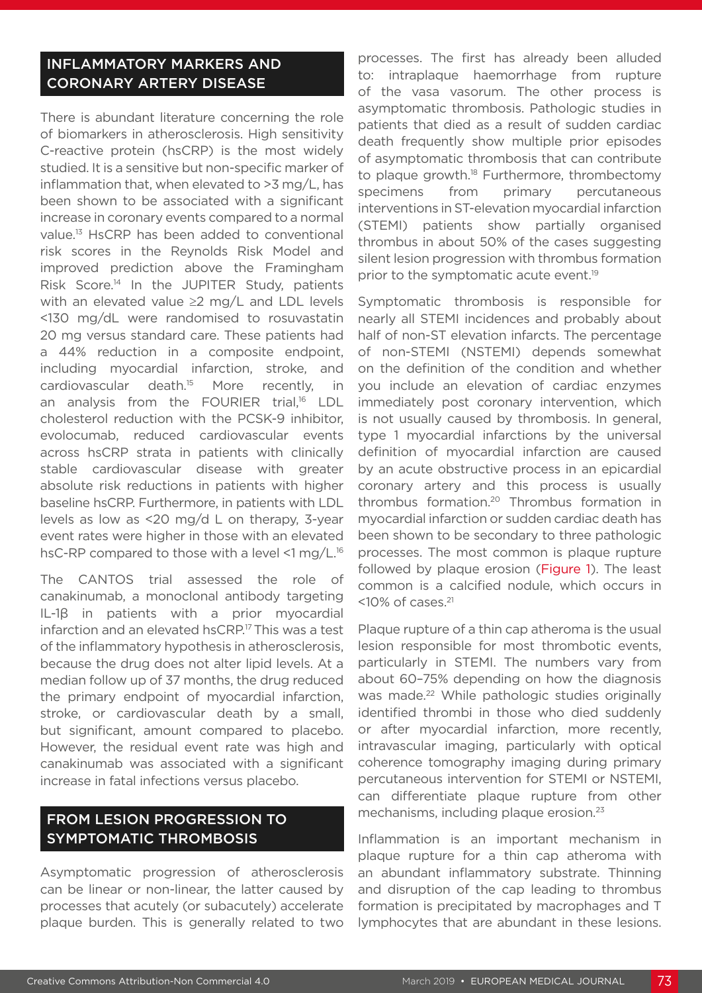#### INFLAMMATORY MARKERS AND CORONARY ARTERY DISEASE

There is abundant literature concerning the role of biomarkers in atherosclerosis. High sensitivity C-reactive protein (hsCRP) is the most widely studied. It is a sensitive but non-specific marker of inflammation that, when elevated to >3 mg/L, has been shown to be associated with a significant increase in coronary events compared to a normal value.13 HsCRP has been added to conventional risk scores in the Reynolds Risk Model and improved prediction above the Framingham Risk Score.<sup>14</sup> In the JUPITER Study, patients with an elevated value ≥2 mg/L and LDL levels <130 mg/dL were randomised to rosuvastatin 20 mg versus standard care. These patients had a 44% reduction in a composite endpoint, including myocardial infarction, stroke, and cardiovascular death.15 More recently, in an analysis from the FOURIER trial,<sup>16</sup> LDL cholesterol reduction with the PCSK-9 inhibitor, evolocumab, reduced cardiovascular events across hsCRP strata in patients with clinically stable cardiovascular disease with greater absolute risk reductions in patients with higher baseline hsCRP. Furthermore, in patients with LDL levels as low as <20 mg/d L on therapy, 3-year event rates were higher in those with an elevated hsC-RP compared to those with a level <1 mg/L.<sup>16</sup>

The CANTOS trial assessed the role of canakinumab, a monoclonal antibody targeting IL-1β in patients with a prior myocardial infarction and an elevated hsCRP.17 This was a test of the inflammatory hypothesis in atherosclerosis, because the drug does not alter lipid levels. At a median follow up of 37 months, the drug reduced the primary endpoint of myocardial infarction, stroke, or cardiovascular death by a small, but significant, amount compared to placebo. However, the residual event rate was high and canakinumab was associated with a significant increase in fatal infections versus placebo.

## FROM LESION PROGRESSION TO SYMPTOMATIC THROMBOSIS

Asymptomatic progression of atherosclerosis can be linear or non-linear, the latter caused by processes that acutely (or subacutely) accelerate plaque burden. This is generally related to two

processes. The first has already been alluded to: intraplaque haemorrhage from rupture of the vasa vasorum. The other process is asymptomatic thrombosis. Pathologic studies in patients that died as a result of sudden cardiac death frequently show multiple prior episodes of asymptomatic thrombosis that can contribute to plaque growth.<sup>18</sup> Furthermore, thrombectomy specimens from primary percutaneous interventions in ST-elevation myocardial infarction (STEMI) patients show partially organised thrombus in about 50% of the cases suggesting silent lesion progression with thrombus formation prior to the symptomatic acute event.<sup>19</sup>

Symptomatic thrombosis is responsible for nearly all STEMI incidences and probably about half of non-ST elevation infarcts. The percentage of non-STEMI (NSTEMI) depends somewhat on the definition of the condition and whether you include an elevation of cardiac enzymes immediately post coronary intervention, which is not usually caused by thrombosis. In general, type 1 myocardial infarctions by the universal definition of myocardial infarction are caused by an acute obstructive process in an epicardial coronary artery and this process is usually thrombus formation.20 Thrombus formation in myocardial infarction or sudden cardiac death has been shown to be secondary to three pathologic processes. The most common is plaque rupture followed by plaque erosion (Figure 1). The least common is a calcified nodule, which occurs in  $<$ 10% of cases. $<sup>21</sup>$ </sup>

Plaque rupture of a thin cap atheroma is the usual lesion responsible for most thrombotic events, particularly in STEMI. The numbers vary from about 60–75% depending on how the diagnosis was made.<sup>22</sup> While pathologic studies originally identified thrombi in those who died suddenly or after myocardial infarction, more recently, intravascular imaging, particularly with optical coherence tomography imaging during primary percutaneous intervention for STEMI or NSTEMI, can differentiate plaque rupture from other mechanisms, including plaque erosion.23

Inflammation is an important mechanism in plaque rupture for a thin cap atheroma with an abundant inflammatory substrate. Thinning and disruption of the cap leading to thrombus formation is precipitated by macrophages and T lymphocytes that are abundant in these lesions.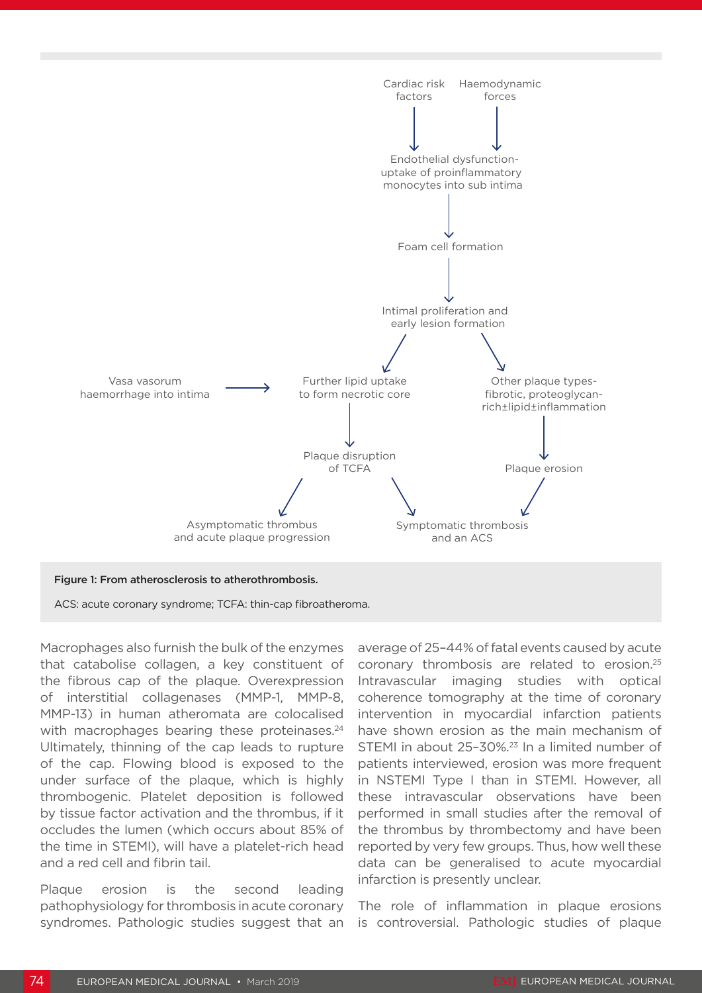

Macrophages also furnish the bulk of the enzymes that catabolise collagen, a key constituent of the fibrous cap of the plaque. Overexpression of interstitial collagenases (MMP-1, MMP-8, MMP-13) in human atheromata are colocalised with macrophages bearing these proteinases.<sup>24</sup> Ultimately, thinning of the cap leads to rupture of the cap. Flowing blood is exposed to the under surface of the plaque, which is highly thrombogenic. Platelet deposition is followed by tissue factor activation and the thrombus, if it occludes the lumen (which occurs about 85% of the time in STEMI), will have a platelet-rich head and a red cell and fibrin tail.

Plaque erosion is the second leading pathophysiology for thrombosis in acute coronary syndromes. Pathologic studies suggest that an average of 25–44% of fatal events caused by acute coronary thrombosis are related to erosion.25 Intravascular imaging studies with optical coherence tomography at the time of coronary intervention in myocardial infarction patients have shown erosion as the main mechanism of STEMI in about 25–30%.23 In a limited number of patients interviewed, erosion was more frequent in NSTEMI Type I than in STEMI. However, all these intravascular observations have been performed in small studies after the removal of the thrombus by thrombectomy and have been reported by very few groups. Thus, how well these data can be generalised to acute myocardial infarction is presently unclear.

The role of inflammation in plaque erosions is controversial. Pathologic studies of plaque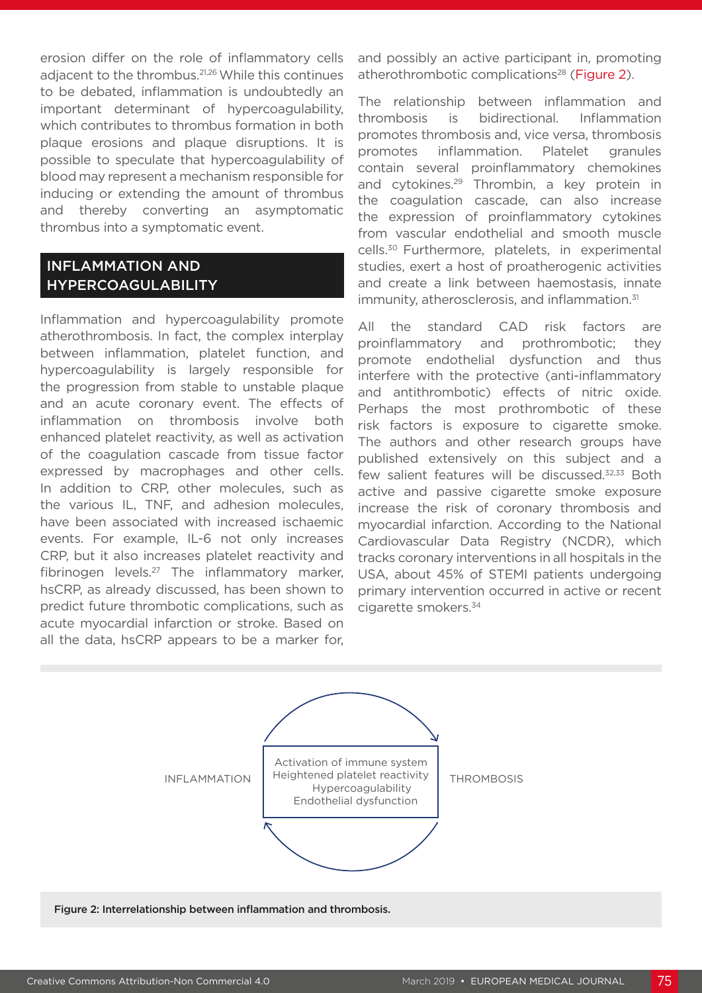erosion differ on the role of inflammatory cells adiacent to the thrombus.<sup>21,26</sup> While this continues to be debated, inflammation is undoubtedly an important determinant of hypercoagulability, which contributes to thrombus formation in both plaque erosions and plaque disruptions. It is possible to speculate that hypercoagulability of blood may represent a mechanism responsible for inducing or extending the amount of thrombus and thereby converting an asymptomatic thrombus into a symptomatic event.

#### INFLAMMATION AND HYPERCOAGULABILITY

Inflammation and hypercoagulability promote atherothrombosis. In fact, the complex interplay between inflammation, platelet function, and hypercoagulability is largely responsible for the progression from stable to unstable plaque and an acute coronary event. The effects of inflammation on thrombosis involve both enhanced platelet reactivity, as well as activation of the coagulation cascade from tissue factor expressed by macrophages and other cells. In addition to CRP, other molecules, such as the various IL, TNF, and adhesion molecules, have been associated with increased ischaemic events. For example, IL-6 not only increases CRP, but it also increases platelet reactivity and fibrinogen levels.27 The inflammatory marker, hsCRP, as already discussed, has been shown to predict future thrombotic complications, such as acute myocardial infarction or stroke. Based on all the data, hsCRP appears to be a marker for,

and possibly an active participant in, promoting atherothrombotic complications<sup>28</sup> (Figure 2).

The relationship between inflammation and thrombosis is bidirectional. Inflammation promotes thrombosis and, vice versa, thrombosis promotes inflammation. Platelet granules contain several proinflammatory chemokines and cytokines.<sup>29</sup> Thrombin, a key protein in the coagulation cascade, can also increase the expression of proinflammatory cytokines from vascular endothelial and smooth muscle cells.30 Furthermore, platelets, in experimental studies, exert a host of proatherogenic activities and create a link between haemostasis, innate immunity, atherosclerosis, and inflammation.<sup>31</sup>

All the standard CAD risk factors are proinflammatory and prothrombotic; they promote endothelial dysfunction and thus interfere with the protective (anti-inflammatory and antithrombotic) effects of nitric oxide. Perhaps the most prothrombotic of these risk factors is exposure to cigarette smoke. The authors and other research groups have published extensively on this subject and a few salient features will be discussed.32,33 Both active and passive cigarette smoke exposure increase the risk of coronary thrombosis and myocardial infarction. According to the National Cardiovascular Data Registry (NCDR), which tracks coronary interventions in all hospitals in the USA, about 45% of STEMI patients undergoing primary intervention occurred in active or recent cigarette smokers.34

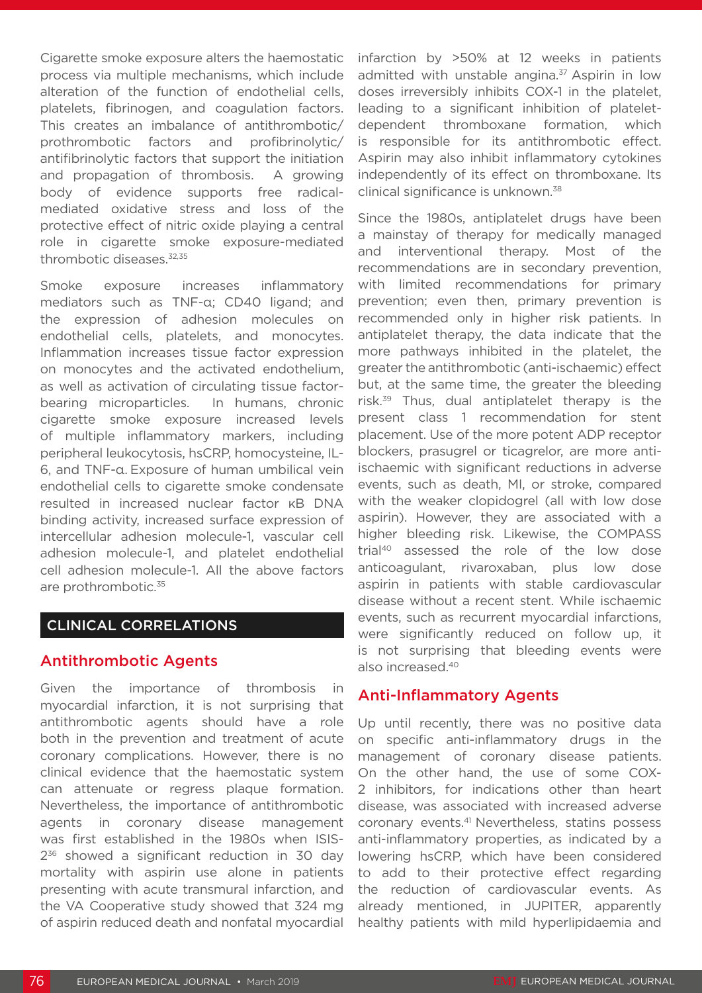Cigarette smoke exposure alters the haemostatic process via multiple mechanisms, which include alteration of the function of endothelial cells, platelets, fibrinogen, and coagulation factors. This creates an imbalance of antithrombotic/ prothrombotic factors and profibrinolytic/ antifibrinolytic factors that support the initiation and propagation of thrombosis. A growing body of evidence supports free radicalmediated oxidative stress and loss of the protective effect of nitric oxide playing a central role in cigarette smoke exposure-mediated thrombotic diseases.32,35

Smoke exposure increases inflammatory mediators such as TNF-α; CD40 ligand; and the expression of adhesion molecules on endothelial cells, platelets, and monocytes. Inflammation increases tissue factor expression on monocytes and the activated endothelium, as well as activation of circulating tissue factorbearing microparticles. In humans, chronic cigarette smoke exposure increased levels of multiple inflammatory markers, including peripheral leukocytosis, hsCRP, homocysteine, IL-6, and TNF-α. Exposure of human umbilical vein endothelial cells to cigarette smoke condensate resulted in increased nuclear factor κB DNA binding activity, increased surface expression of intercellular adhesion molecule-1, vascular cell adhesion molecule-1, and platelet endothelial cell adhesion molecule-1. All the above factors are prothrombotic.<sup>35</sup>

#### CLINICAL CORRELATIONS

#### Antithrombotic Agents

Given the importance of thrombosis in myocardial infarction, it is not surprising that antithrombotic agents should have a role both in the prevention and treatment of acute coronary complications. However, there is no clinical evidence that the haemostatic system can attenuate or regress plaque formation. Nevertheless, the importance of antithrombotic agents in coronary disease management was first established in the 1980s when ISIS- $2^{36}$  showed a significant reduction in 30 day mortality with aspirin use alone in patients presenting with acute transmural infarction, and the VA Cooperative study showed that 324 mg of aspirin reduced death and nonfatal myocardial infarction by >50% at 12 weeks in patients admitted with unstable angina.<sup>37</sup> Aspirin in low doses irreversibly inhibits COX-1 in the platelet, leading to a significant inhibition of plateletdependent thromboxane formation, which is responsible for its antithrombotic effect. Aspirin may also inhibit inflammatory cytokines independently of its effect on thromboxane. Its clinical significance is unknown.38

Since the 1980s, antiplatelet drugs have been a mainstay of therapy for medically managed and interventional therapy. Most of the recommendations are in secondary prevention, with limited recommendations for primary prevention; even then, primary prevention is recommended only in higher risk patients. In antiplatelet therapy, the data indicate that the more pathways inhibited in the platelet, the greater the antithrombotic (anti-ischaemic) effect but, at the same time, the greater the bleeding risk.39 Thus, dual antiplatelet therapy is the present class 1 recommendation for stent placement. Use of the more potent ADP receptor blockers, prasugrel or ticagrelor, are more antiischaemic with significant reductions in adverse events, such as death, MI, or stroke, compared with the weaker clopidogrel (all with low dose aspirin). However, they are associated with a higher bleeding risk. Likewise, the COMPASS trial40 assessed the role of the low dose anticoagulant, rivaroxaban, plus low dose aspirin in patients with stable cardiovascular disease without a recent stent. While ischaemic events, such as recurrent myocardial infarctions, were significantly reduced on follow up, it is not surprising that bleeding events were also increased.40

#### Anti-Inflammatory Agents

Up until recently, there was no positive data on specific anti-inflammatory drugs in the management of coronary disease patients. On the other hand, the use of some COX-2 inhibitors, for indications other than heart disease, was associated with increased adverse coronary events.41 Nevertheless, statins possess anti-inflammatory properties, as indicated by a lowering hsCRP, which have been considered to add to their protective effect regarding the reduction of cardiovascular events. As already mentioned, in JUPITER, apparently healthy patients with mild hyperlipidaemia and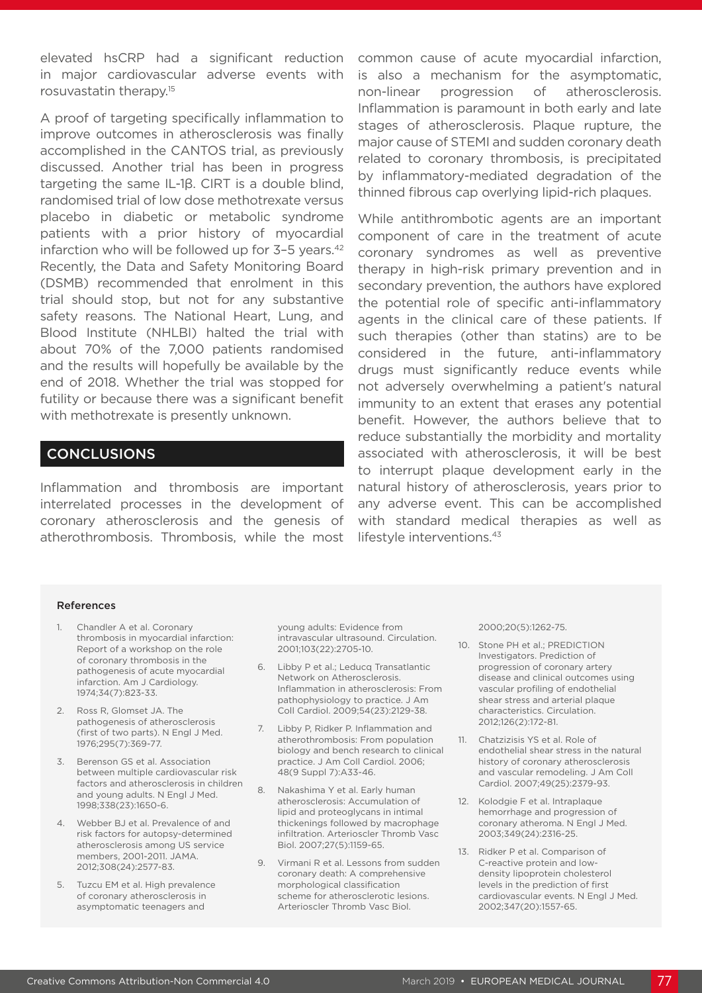elevated hsCRP had a significant reduction in major cardiovascular adverse events with rosuvastatin therapy.15

A proof of targeting specifically inflammation to improve outcomes in atherosclerosis was finally accomplished in the CANTOS trial, as previously discussed. Another trial has been in progress targeting the same IL-1β. CIRT is a double blind, randomised trial of low dose methotrexate versus placebo in diabetic or metabolic syndrome patients with a prior history of myocardial infarction who will be followed up for 3-5 years.<sup>42</sup> Recently, the Data and Safety Monitoring Board (DSMB) recommended that enrolment in this trial should stop, but not for any substantive safety reasons. The National Heart, Lung, and Blood Institute (NHLBI) halted the trial with about 70% of the 7,000 patients randomised and the results will hopefully be available by the end of 2018. Whether the trial was stopped for futility or because there was a significant benefit with methotrexate is presently unknown.

### CONCLUSIONS

Inflammation and thrombosis are important interrelated processes in the development of coronary atherosclerosis and the genesis of atherothrombosis. Thrombosis, while the most

common cause of acute myocardial infarction, is also a mechanism for the asymptomatic, non-linear progression of atherosclerosis. Inflammation is paramount in both early and late stages of atherosclerosis. Plaque rupture, the major cause of STEMI and sudden coronary death related to coronary thrombosis, is precipitated by inflammatory-mediated degradation of the thinned fibrous cap overlying lipid-rich plaques.

While antithrombotic agents are an important component of care in the treatment of acute coronary syndromes as well as preventive therapy in high-risk primary prevention and in secondary prevention, the authors have explored the potential role of specific anti-inflammatory agents in the clinical care of these patients. If such therapies (other than statins) are to be considered in the future, anti-inflammatory drugs must significantly reduce events while not adversely overwhelming a patient's natural immunity to an extent that erases any potential benefit. However, the authors believe that to reduce substantially the morbidity and mortality associated with atherosclerosis, it will be best to interrupt plaque development early in the natural history of atherosclerosis, years prior to any adverse event. This can be accomplished with standard medical therapies as well as lifestyle interventions.<sup>43</sup>

#### References

- 1. Chandler A et al. Coronary thrombosis in myocardial infarction: Report of a workshop on the role of coronary thrombosis in the pathogenesis of acute myocardial infarction. Am J Cardiology. 1974;34(7):823-33.
- 2. Ross R, Glomset JA. The pathogenesis of atherosclerosis (first of two parts). N Engl J Med. 1976;295(7):369-77.
- 3. Berenson GS et al. Association between multiple cardiovascular risk factors and atherosclerosis in children and young adults. N Engl J Med. 1998;338(23):1650-6.
- 4. Webber BJ et al. Prevalence of and risk factors for autopsy-determined atherosclerosis among US service members, 2001-2011. JAMA. 2012;308(24):2577-83.
- 5. Tuzcu EM et al. High prevalence of coronary atherosclerosis in asymptomatic teenagers and

young adults: Evidence from intravascular ultrasound. Circulation. 2001;103(22):2705-10.

- 6. Libby P et al.; Leducq Transatlantic Network on Atherosclerosis. Inflammation in atherosclerosis: From pathophysiology to practice. J Am Coll Cardiol. 2009;54(23):2129-38.
- 7. Libby P, Ridker P. Inflammation and atherothrombosis: From population biology and bench research to clinical practice. J Am Coll Cardiol. 2006; 48(9 Suppl 7):A33-46.
- 8. Nakashima Y et al. Early human atherosclerosis: Accumulation of lipid and proteoglycans in intimal thickenings followed by macrophage infiltration. Arterioscler Thromb Vasc Biol. 2007;27(5):1159-65.
- 9. Virmani R et al. Lessons from sudden coronary death: A comprehensive morphological classification scheme for atherosclerotic lesions. Arterioscler Thromb Vasc Biol.

#### 2000;20(5):1262-75.

- 10. Stone PH et al.; PREDICTION Investigators. Prediction of progression of coronary artery disease and clinical outcomes using vascular profiling of endothelial shear stress and arterial plaque characteristics. Circulation. 2012;126(2):172-81.
- 11. Chatzizisis YS et al. Role of endothelial shear stress in the natural history of coronary atherosclerosis and vascular remodeling. J Am Coll Cardiol. 2007;49(25):2379-93.
- 12. Kolodgie F et al. Intraplaque hemorrhage and progression of coronary atheroma. N Engl J Med. 2003;349(24):2316-25.
- 13. Ridker P et al. Comparison of C-reactive protein and lowdensity lipoprotein cholesterol levels in the prediction of first cardiovascular events. N Engl J Med. 2002;347(20):1557-65.